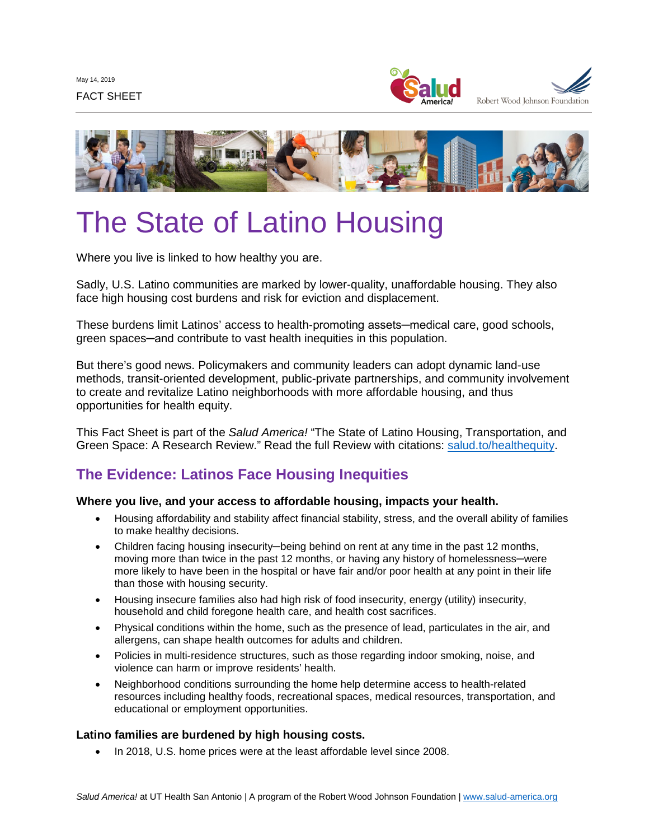



# The State of Latino Housing

Where you live is linked to how healthy you are.

Sadly, U.S. Latino communities are marked by lower-quality, unaffordable housing. They also face high housing cost burdens and risk for eviction and displacement.

These burdens limit Latinos' access to health-promoting assets—medical care, good schools, green spaces─and contribute to vast health inequities in this population.

But there's good news. Policymakers and community leaders can adopt dynamic land-use methods, transit-oriented development, public-private partnerships, and community involvement to create and revitalize Latino neighborhoods with more affordable housing, and thus opportunities for health equity.

This Fact Sheet is part of the *Salud America!* "The State of Latino Housing, Transportation, and Green Space: A Research Review." Read the full Review with citations: [salud.to/healthequity.](https://salud.to/healthequity)

## **The Evidence: Latinos Face Housing Inequities**

#### **Where you live, and your access to affordable housing, impacts your health.**

- Housing affordability and stability affect financial stability, stress, and the overall ability of families to make healthy decisions.
- Children facing housing insecurity─being behind on rent at any time in the past 12 months, moving more than twice in the past 12 months, or having any history of homelessness—were more likely to have been in the hospital or have fair and/or poor health at any point in their life than those with housing security.
- Housing insecure families also had high risk of food insecurity, energy (utility) insecurity, household and child foregone health care, and health cost sacrifices.
- Physical conditions within the home, such as the presence of lead, particulates in the air, and allergens, can shape health outcomes for adults and children.
- Policies in multi-residence structures, such as those regarding indoor smoking, noise, and violence can harm or improve residents' health.
- Neighborhood conditions surrounding the home help determine access to health-related resources including healthy foods, recreational spaces, medical resources, transportation, and educational or employment opportunities.

## **Latino families are burdened by high housing costs.**

• In 2018, U.S. home prices were at the least affordable level since 2008.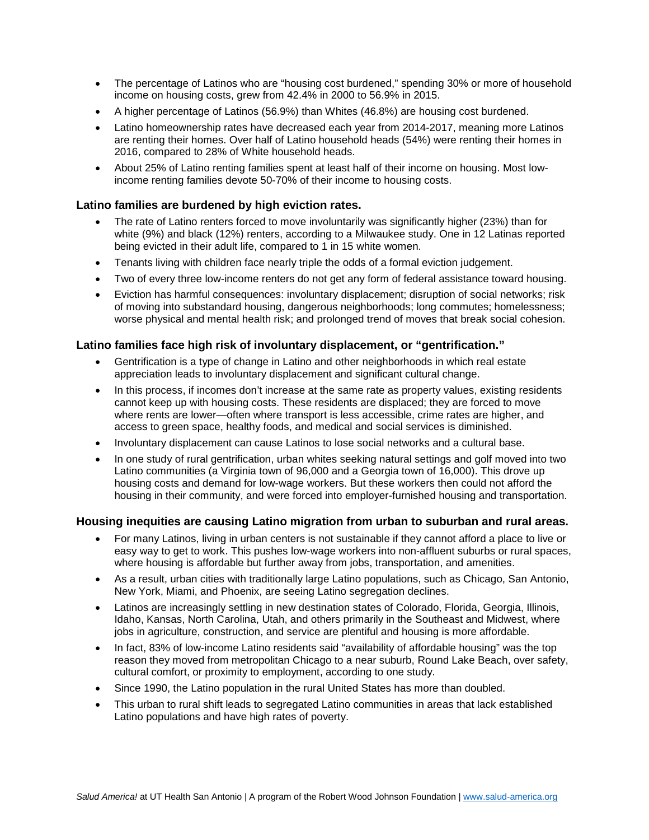- The percentage of Latinos who are "housing cost burdened," spending 30% or more of household income on housing costs, grew from 42.4% in 2000 to 56.9% in 2015.
- A higher percentage of Latinos (56.9%) than Whites (46.8%) are housing cost burdened.
- Latino homeownership rates have decreased each year from 2014-2017, meaning more Latinos are renting their homes. Over half of Latino household heads (54%) were renting their homes in 2016, compared to 28% of White household heads.
- About 25% of Latino renting families spent at least half of their income on housing. Most lowincome renting families devote 50-70% of their income to housing costs.

#### **Latino families are burdened by high eviction rates.**

- The rate of Latino renters forced to move involuntarily was significantly higher (23%) than for white (9%) and black (12%) renters, according to a Milwaukee study. One in 12 Latinas reported being evicted in their adult life, compared to 1 in 15 white women.
- Tenants living with children face nearly triple the odds of a formal eviction judgement.
- Two of every three low-income renters do not get any form of federal assistance toward housing.
- Eviction has harmful consequences: involuntary displacement; disruption of social networks; risk of moving into substandard housing, dangerous neighborhoods; long commutes; homelessness; worse physical and mental health risk; and prolonged trend of moves that break social cohesion.

#### **Latino families face high risk of involuntary displacement, or "gentrification."**

- Gentrification is a type of change in Latino and other neighborhoods in which real estate appreciation leads to involuntary displacement and significant cultural change.
- In this process, if incomes don't increase at the same rate as property values, existing residents cannot keep up with housing costs. These residents are displaced; they are forced to move where rents are lower—often where transport is less accessible, crime rates are higher, and access to green space, healthy foods, and medical and social services is diminished.
- Involuntary displacement can cause Latinos to lose social networks and a cultural base.
- In one study of rural gentrification, urban whites seeking natural settings and golf moved into two Latino communities (a Virginia town of 96,000 and a Georgia town of 16,000). This drove up housing costs and demand for low-wage workers. But these workers then could not afford the housing in their community, and were forced into employer-furnished housing and transportation.

#### **Housing inequities are causing Latino migration from urban to suburban and rural areas.**

- For many Latinos, living in urban centers is not sustainable if they cannot afford a place to live or easy way to get to work. This pushes low-wage workers into non-affluent suburbs or rural spaces, where housing is affordable but further away from jobs, transportation, and amenities.
- As a result, urban cities with traditionally large Latino populations, such as Chicago, San Antonio, New York, Miami, and Phoenix, are seeing Latino segregation declines.
- Latinos are increasingly settling in new destination states of Colorado, Florida, Georgia, Illinois, Idaho, Kansas, North Carolina, Utah, and others primarily in the Southeast and Midwest, where jobs in agriculture, construction, and service are plentiful and housing is more affordable.
- In fact, 83% of low-income Latino residents said "availability of affordable housing" was the top reason they moved from metropolitan Chicago to a near suburb, Round Lake Beach, over safety, cultural comfort, or proximity to employment, according to one study.
- Since 1990, the Latino population in the rural United States has more than doubled.
- This urban to rural shift leads to segregated Latino communities in areas that lack established Latino populations and have high rates of poverty.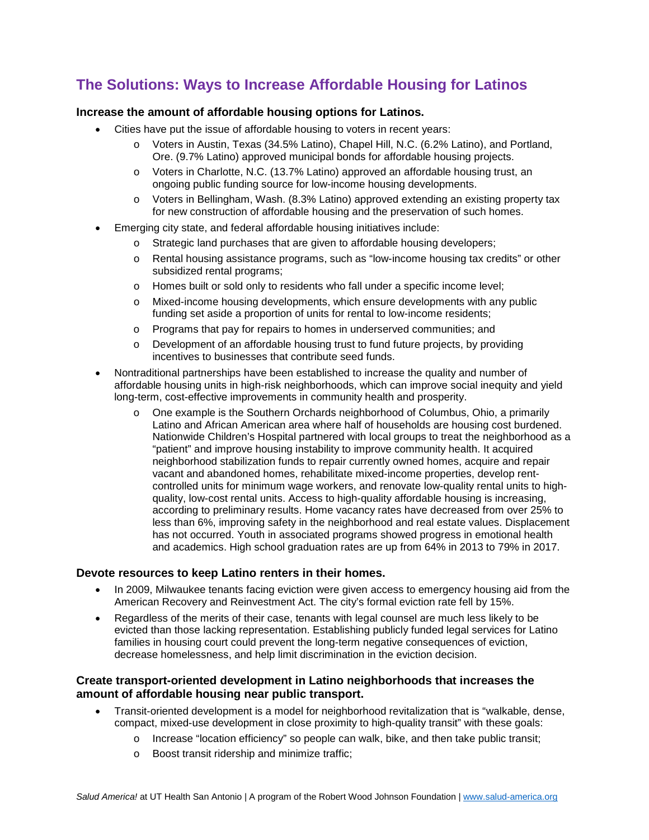## **The Solutions: Ways to Increase Affordable Housing for Latinos**

#### **Increase the amount of affordable housing options for Latinos.**

- Cities have put the issue of affordable housing to voters in recent years:
	- o Voters in Austin, Texas (34.5% Latino), Chapel Hill, N.C. (6.2% Latino), and Portland, Ore. (9.7% Latino) approved municipal bonds for affordable housing projects.
	- o Voters in Charlotte, N.C. (13.7% Latino) approved an affordable housing trust, an ongoing public funding source for low-income housing developments.
	- o Voters in Bellingham, Wash. (8.3% Latino) approved extending an existing property tax for new construction of affordable housing and the preservation of such homes.
- Emerging city state, and federal affordable housing initiatives include:
	- $\circ$  Strategic land purchases that are given to affordable housing developers;
	- o Rental housing assistance programs, such as "low-income housing tax credits" or other subsidized rental programs;
	- o Homes built or sold only to residents who fall under a specific income level;
	- o Mixed-income housing developments, which ensure developments with any public funding set aside a proportion of units for rental to low-income residents;
	- o Programs that pay for repairs to homes in underserved communities; and
	- $\circ$  Development of an affordable housing trust to fund future projects, by providing incentives to businesses that contribute seed funds.
- Nontraditional partnerships have been established to increase the quality and number of affordable housing units in high-risk neighborhoods, which can improve social inequity and yield long-term, cost-effective improvements in community health and prosperity.
	- o One example is the Southern Orchards neighborhood of Columbus, Ohio, a primarily Latino and African American area where half of households are housing cost burdened. Nationwide Children's Hospital partnered with local groups to treat the neighborhood as a "patient" and improve housing instability to improve community health. It acquired neighborhood stabilization funds to repair currently owned homes, acquire and repair vacant and abandoned homes, rehabilitate mixed-income properties, develop rentcontrolled units for minimum wage workers, and renovate low-quality rental units to highquality, low-cost rental units. Access to high-quality affordable housing is increasing, according to preliminary results. Home vacancy rates have decreased from over 25% to less than 6%, improving safety in the neighborhood and real estate values. Displacement has not occurred. Youth in associated programs showed progress in emotional health and academics. High school graduation rates are up from 64% in 2013 to 79% in 2017.

#### **Devote resources to keep Latino renters in their homes.**

- In 2009, Milwaukee tenants facing eviction were given access to emergency housing aid from the American Recovery and Reinvestment Act. The city's formal eviction rate fell by 15%.
- Regardless of the merits of their case, tenants with legal counsel are much less likely to be evicted than those lacking representation. Establishing publicly funded legal services for Latino families in housing court could prevent the long-term negative consequences of eviction, decrease homelessness, and help limit discrimination in the eviction decision.

#### **Create transport-oriented development in Latino neighborhoods that increases the amount of affordable housing near public transport.**

- Transit-oriented development is a model for neighborhood revitalization that is "walkable, dense, compact, mixed-use development in close proximity to high-quality transit" with these goals:
	- o Increase "location efficiency" so people can walk, bike, and then take public transit;
	- o Boost transit ridership and minimize traffic;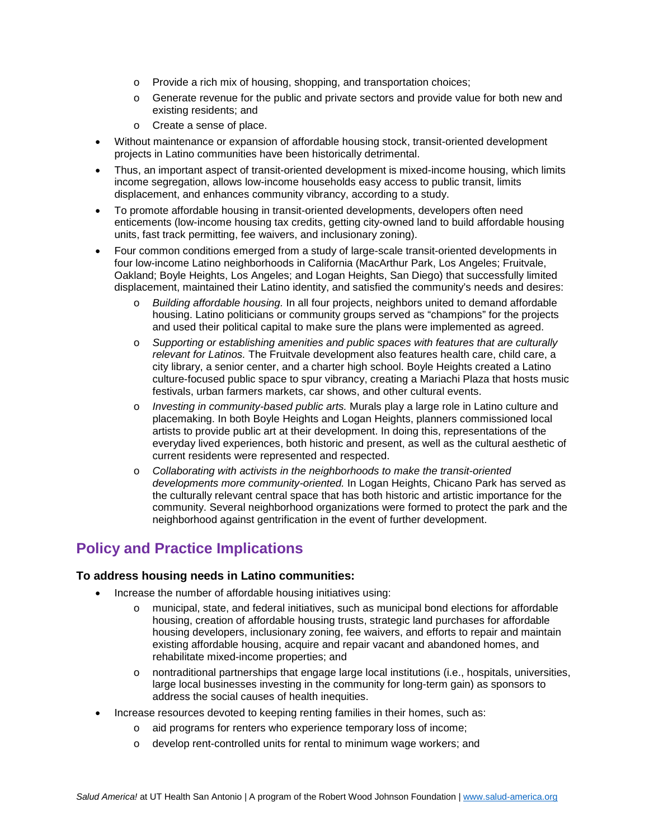- o Provide a rich mix of housing, shopping, and transportation choices;
- o Generate revenue for the public and private sectors and provide value for both new and existing residents; and
- o Create a sense of place.
- Without maintenance or expansion of affordable housing stock, transit-oriented development projects in Latino communities have been historically detrimental.
- Thus, an important aspect of transit-oriented development is mixed-income housing, which limits income segregation, allows low-income households easy access to public transit, limits displacement, and enhances community vibrancy, according to a study.
- To promote affordable housing in transit-oriented developments, developers often need enticements (low-income housing tax credits, getting city-owned land to build affordable housing units, fast track permitting, fee waivers, and inclusionary zoning).
- Four common conditions emerged from a study of large-scale transit-oriented developments in four low-income Latino neighborhoods in California (MacArthur Park, Los Angeles; Fruitvale, Oakland; Boyle Heights, Los Angeles; and Logan Heights, San Diego) that successfully limited displacement, maintained their Latino identity, and satisfied the community's needs and desires:
	- o *Building affordable housing.* In all four projects, neighbors united to demand affordable housing. Latino politicians or community groups served as "champions" for the projects and used their political capital to make sure the plans were implemented as agreed.
	- o *Supporting or establishing amenities and public spaces with features that are culturally relevant for Latinos.* The Fruitvale development also features health care, child care, a city library, a senior center, and a charter high school. Boyle Heights created a Latino culture-focused public space to spur vibrancy, creating a Mariachi Plaza that hosts music festivals, urban farmers markets, car shows, and other cultural events.
	- o *Investing in community-based public arts.* Murals play a large role in Latino culture and placemaking. In both Boyle Heights and Logan Heights, planners commissioned local artists to provide public art at their development. In doing this, representations of the everyday lived experiences, both historic and present, as well as the cultural aesthetic of current residents were represented and respected.
	- o *Collaborating with activists in the neighborhoods to make the transit-oriented developments more community-oriented.* In Logan Heights, Chicano Park has served as the culturally relevant central space that has both historic and artistic importance for the community. Several neighborhood organizations were formed to protect the park and the neighborhood against gentrification in the event of further development.

# **Policy and Practice Implications**

## **To address housing needs in Latino communities:**

- Increase the number of affordable housing initiatives using:
	- o municipal, state, and federal initiatives, such as municipal bond elections for affordable housing, creation of affordable housing trusts, strategic land purchases for affordable housing developers, inclusionary zoning, fee waivers, and efforts to repair and maintain existing affordable housing, acquire and repair vacant and abandoned homes, and rehabilitate mixed-income properties; and
	- o nontraditional partnerships that engage large local institutions (i.e., hospitals, universities, large local businesses investing in the community for long-term gain) as sponsors to address the social causes of health inequities.
- Increase resources devoted to keeping renting families in their homes, such as:
	- o aid programs for renters who experience temporary loss of income;
	- o develop rent-controlled units for rental to minimum wage workers; and